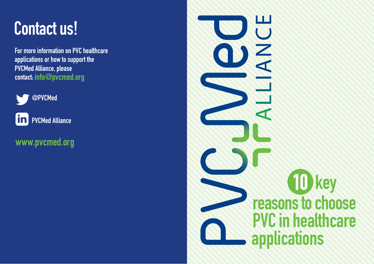# **Contact us!**

**For more information on PVC healthcare applications or how to support the PVCMed Alliance, please contact: info@pvcmed.org**



**Fin** PVCMed Alliance

**www.pvcmed.org**

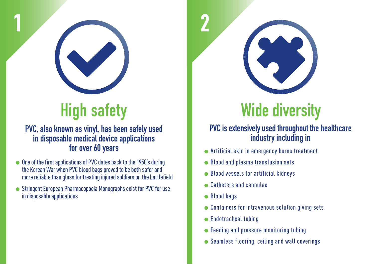

# **High safety**

**PVC, also known as vinyl, has been safely used in disposable medical device applications for over 60 years**

- 1One of the first applications of PVC dates back to the 1950's during the Korean War when PVC blood bags proved to be both safer and more reliable than glass for treating injured soldiers on the battlefield
- 1Stringent European Pharmacopoeia Monographs exist for PVC for use in disposable applications



# **Wide diversity**

#### **PVC is extensively used throughout the healthcare industry including in**

- $\bullet$  Artificial skin in emergency burns treatment
- $\bullet$  Blood and plasma transfusion sets
- $\bullet$  Blood vessels for artificial kidneys
- $\bullet$  Catheters and cannulae
- $\bullet$  Blood bags

**2**

- $\bullet$  Containers for intravenous solution giving sets
- $\bullet$  Endotracheal tubing
- $\bullet$  Feeding and pressure monitoring tubing
- $\bullet$  Seamless flooring, ceiling and wall coverings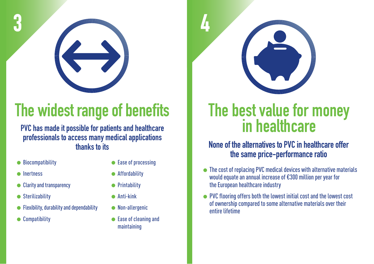

# **The widest range of benefits**

**PVC has made it possible for patients and healthcare professionals to access many medical applications thanks to its** 

- **Biocompatibility**
- **Inertness**
- **Clarity and transparency**
- **Sterilizability**
- 1Flexibility, durability and dependability
- **Compatibility**
- $\bullet$  Ease of processing
- $\bullet$  Affordability
- $\bullet$  Printability
- $\bullet$  Anti-kink
- Non-allergenic
- 1Ease of cleaning and maintaining



### **The best value for money in healthcare**

#### **None of the alternatives to PVC in healthcare offer the same price-performance ratio**

- $\bullet$  The cost of replacing PVC medical devices with alternative materials would equate an annual increase of €300 million per year for the European healthcare industry
- $\bullet$  PVC flooring offers both the lowest initial cost and the lowest cost of ownership compared to some alternative materials over their entire lifetime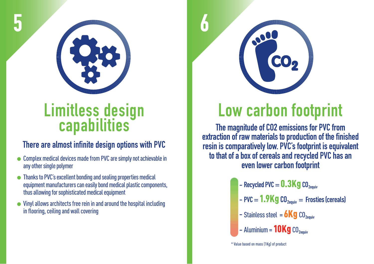

**5**

### **Limitless design capabilities**

### **There are almost infinite design options with PVC**

- 1Complex medical devices made from PVC are simply not achievable in any other single polymer
- 1Thanks to PVC's excellent bonding and sealing properties medical equipment manufacturers can easily bond medical plastic components, thus allowing for sophisticated medical equipment
- 1Vinyl allows architects free rein in and around the hospital including in flooring, ceiling and wall covering



# **Low carbon footprint**

**The magnitude of CO2 emissions for PVC from**  extraction of raw materials to production of the finished **resin is comparatively low. PVC's footprint is equivalent to that of a box of cereals and recycled PVC has an even lower carbon footprint**

 $R$ **Recycled PVC = 0.3Kg CO**  $_{2}$ <sub>equiv</sub>

- $PVC = 1.9KgCO<sub>2equiv</sub> = Frosties(cereals)$
- Stainless steel = 6Kg CO**2equiv**
- $-$  Aluminium =  $10Kq$  CO<sub>2equiv</sub>

\* Value based on mass (1Kg) of product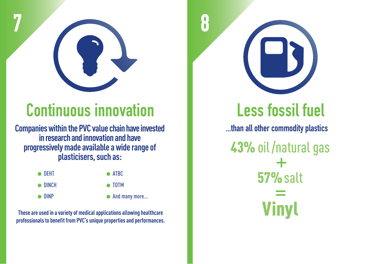

# **Continuous innovation**

**Companies within the PVC value chain have invested in research and innovation and have progressively made available a wide range of plasticisers, such as:**

**O** DEHT

 $\bullet$  ATRC

**• DINCH** 

● TOTM

• DINP

• And many more...

**These are used in a variety of medical applications allowing healthcare professionals to benefit from PVC's unique properties and performances.**



**8**

43%oil /natural gas 57% salt Vinyl **+ = Less fossil fuel ...than all other commodity plastics**